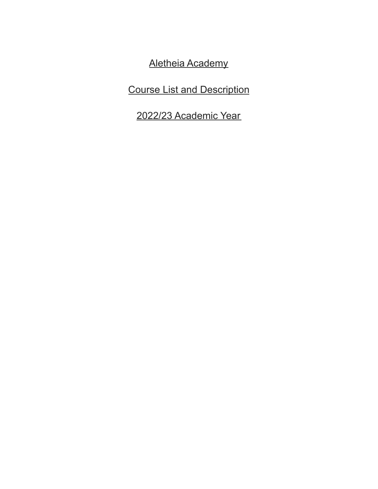Aletheia Academy

Course List and Description

2022/23 Academic Year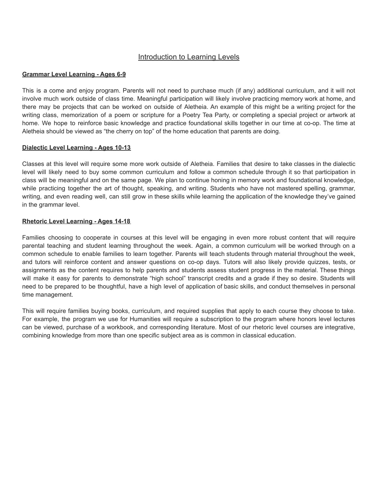## Introduction to Learning Levels

#### **Grammar Level Learning - Ages 6-9**

This is a come and enjoy program. Parents will not need to purchase much (if any) additional curriculum, and it will not involve much work outside of class time. Meaningful participation will likely involve practicing memory work at home, and there may be projects that can be worked on outside of Aletheia. An example of this might be a writing project for the writing class, memorization of a poem or scripture for a Poetry Tea Party, or completing a special project or artwork at home. We hope to reinforce basic knowledge and practice foundational skills together in our time at co-op. The time at Aletheia should be viewed as "the cherry on top" of the home education that parents are doing.

#### **Dialectic Level Learning - Ages 10-13**

Classes at this level will require some more work outside of Aletheia. Families that desire to take classes in the dialectic level will likely need to buy some common curriculum and follow a common schedule through it so that participation in class will be meaningful and on the same page. We plan to continue honing in memory work and foundational knowledge, while practicing together the art of thought, speaking, and writing. Students who have not mastered spelling, grammar, writing, and even reading well, can still grow in these skills while learning the application of the knowledge they've gained in the grammar level.

#### **Rhetoric Level Learning - Ages 14-18**

Families choosing to cooperate in courses at this level will be engaging in even more robust content that will require parental teaching and student learning throughout the week. Again, a common curriculum will be worked through on a common schedule to enable families to learn together. Parents will teach students through material throughout the week, and tutors will reinforce content and answer questions on co-op days. Tutors will also likely provide quizzes, tests, or assignments as the content requires to help parents and students assess student progress in the material. These things will make it easy for parents to demonstrate "high school" transcript credits and a grade if they so desire. Students will need to be prepared to be thoughtful, have a high level of application of basic skills, and conduct themselves in personal time management.

This will require families buying books, curriculum, and required supplies that apply to each course they choose to take. For example, the program we use for Humanities will require a subscription to the program where honors level lectures can be viewed, purchase of a workbook, and corresponding literature. Most of our rhetoric level courses are integrative, combining knowledge from more than one specific subject area as is common in classical education.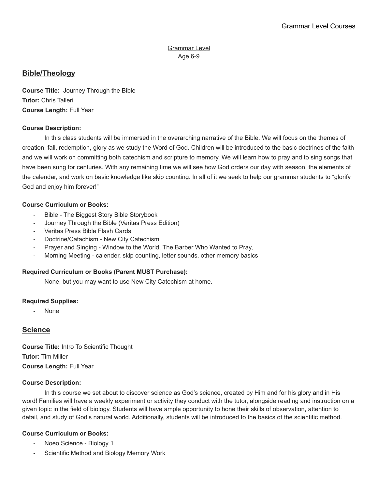# **Bible/Theology**

**Course Title:** Journey Through the Bible **Tutor:** Chris Talleri **Course Length:** Full Year

## **Course Description:**

In this class students will be immersed in the overarching narrative of the Bible. We will focus on the themes of creation, fall, redemption, glory as we study the Word of God. Children will be introduced to the basic doctrines of the faith and we will work on committing both catechism and scripture to memory. We will learn how to pray and to sing songs that have been sung for centuries. With any remaining time we will see how God orders our day with season, the elements of the calendar, and work on basic knowledge like skip counting. In all of it we seek to help our grammar students to "glorify God and enjoy him forever!"

#### **Course Curriculum or Books:**

- Bible The Biggest Story Bible Storybook
- Journey Through the Bible (Veritas Press Edition)
- Veritas Press Bible Flash Cards
- Doctrine/Catachism New City Catechism
- Prayer and Singing Window to the World, The Barber Who Wanted to Pray,
- Morning Meeting calender, skip counting, letter sounds, other memory basics

## **Required Curriculum or Books (Parent MUST Purchase):**

None, but you may want to use New City Catechism at home.

#### **Required Supplies:**

- None

# **Science**

**Course Title:** Intro To Scientific Thought **Tutor:** Tim Miller **Course Length:** Full Year

#### **Course Description:**

In this course we set about to discover science as God's science, created by Him and for his glory and in His word! Families will have a weekly experiment or activity they conduct with the tutor, alongside reading and instruction on a given topic in the field of biology. Students will have ample opportunity to hone their skills of observation, attention to detail, and study of God's natural world. Additionally, students will be introduced to the basics of the scientific method.

## **Course Curriculum or Books:**

- Noeo Science Biology 1
- Scientific Method and Biology Memory Work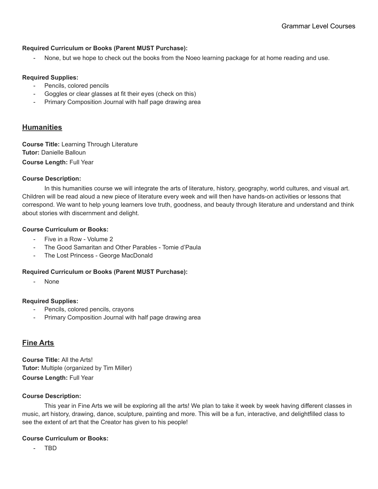#### **Required Curriculum or Books (Parent MUST Purchase):**

None, but we hope to check out the books from the Noeo learning package for at home reading and use.

#### **Required Supplies:**

- Pencils, colored pencils
- Goggles or clear glasses at fit their eyes (check on this)
- Primary Composition Journal with half page drawing area

## **Humanities**

**Course Title:** Learning Through Literature **Tutor:** Danielle Balloun **Course Length:** Full Year

#### **Course Description:**

In this humanities course we will integrate the arts of literature, history, geography, world cultures, and visual art. Children will be read aloud a new piece of literature every week and will then have hands-on activities or lessons that correspond. We want to help young learners love truth, goodness, and beauty through literature and understand and think about stories with discernment and delight.

#### **Course Curriculum or Books:**

- Five in a Row Volume 2
- The Good Samaritan and Other Parables Tomie d'Paula
- The Lost Princess George MacDonald

#### **Required Curriculum or Books (Parent MUST Purchase):**

None

#### **Required Supplies:**

- Pencils, colored pencils, crayons
- Primary Composition Journal with half page drawing area

## **Fine Arts**

**Course Title:** All the Arts! **Tutor:** Multiple (organized by Tim Miller) **Course Length:** Full Year

#### **Course Description:**

This year in Fine Arts we will be exploring all the arts! We plan to take it week by week having different classes in music, art history, drawing, dance, sculpture, painting and more. This will be a fun, interactive, and delightfilled class to see the extent of art that the Creator has given to his people!

#### **Course Curriculum or Books:**

- TBD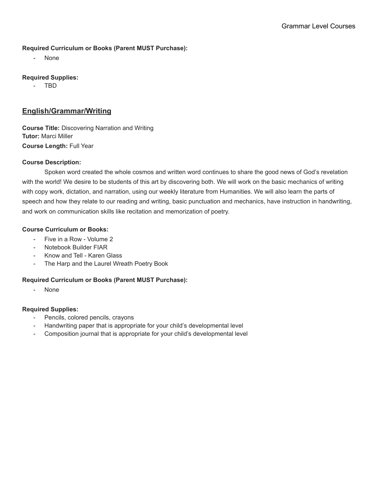### **Required Curriculum or Books (Parent MUST Purchase):**

None

## **Required Supplies:**

- TBD

# **English/Grammar/Writing**

**Course Title:** Discovering Narration and Writing **Tutor:** Marci Miller **Course Length:** Full Year

## **Course Description:**

Spoken word created the whole cosmos and written word continues to share the good news of God's revelation with the world! We desire to be students of this art by discovering both. We will work on the basic mechanics of writing with copy work, dictation, and narration, using our weekly literature from Humanities. We will also learn the parts of speech and how they relate to our reading and writing, basic punctuation and mechanics, have instruction in handwriting, and work on communication skills like recitation and memorization of poetry.

## **Course Curriculum or Books:**

- Five in a Row Volume 2
- Notebook Builder FIAR
- Know and Tell Karen Glass
- The Harp and the Laurel Wreath Poetry Book

## **Required Curriculum or Books (Parent MUST Purchase):**

None

#### **Required Supplies:**

- Pencils, colored pencils, crayons
- Handwriting paper that is appropriate for your child's developmental level
- Composition journal that is appropriate for your child's developmental level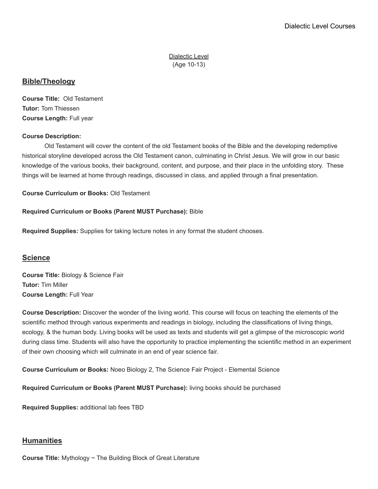Dialectic Level (Age 10-13)

## **Bible/Theology**

**Course Title:** Old Testament **Tutor:** Tom Thiessen **Course Length:** Full year

## **Course Description:**

Old Testament will cover the content of the old Testament books of the Bible and the developing redemptive historical storyline developed across the Old Testament canon, culminating in Christ Jesus. We will grow in our basic knowledge of the various books, their background, content, and purpose, and their place in the unfolding story. These things will be learned at home through readings, discussed in class, and applied through a final presentation.

**Course Curriculum or Books:** Old Testament

## **Required Curriculum or Books (Parent MUST Purchase):** Bible

**Required Supplies:** Supplies for taking lecture notes in any format the student chooses.

## **Science**

**Course Title:** Biology & Science Fair **Tutor:** Tim Miller **Course Length:** Full Year

**Course Description:** Discover the wonder of the living world. This course will focus on teaching the elements of the scientific method through various experiments and readings in biology, including the classifications of living things, ecology, & the human body. Living books will be used as texts and students will get a glimpse of the microscopic world during class time. Students will also have the opportunity to practice implementing the scientific method in an experiment of their own choosing which will culminate in an end of year science fair.

**Course Curriculum or Books:** Noeo Biology 2, The Science Fair Project - Elemental Science

**Required Curriculum or Books (Parent MUST Purchase):** living books should be purchased

**Required Supplies:** additional lab fees TBD

# **Humanities**

**Course Title:** Mythology ~ The Building Block of Great Literature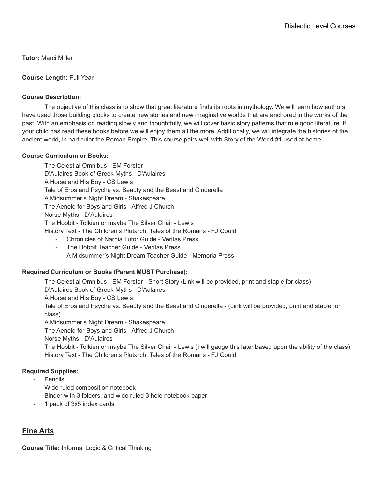**Tutor:** Marci Miller

#### **Course Length:** Full Year

### **Course Description:**

The objective of this class is to show that great literature finds its roots in mythology. We will learn how authors have used those building blocks to create new stories and new imaginative worlds that are anchored in the works of the past. With an emphasis on reading slowly and thoughtfully, we will cover basic story patterns that rule good literature. If your child has read these books before we will enjoy them all the more. Additionally, we will integrate the histories of the ancient world, in particular the Roman Empire. This course pairs well with Story of the World #1 used at home.

#### **Course Curriculum or Books:**

The Celestial Omnibus - EM Forster D'Aulaires Book of Greek Myths - D'Aulaires A Horse and His Boy - CS Lewis Tale of Eros and Psyche vs. Beauty and the Beast and Cinderella A Midsummer's Night Dream - Shakespeare The Aeneid for Boys and Girls - Alfred J Church Norse Myths - D'Aulaires The Hobbit - Tolkien or maybe The Silver Chair - Lewis History Text - The Children's Plutarch: Tales of the Romans - FJ Gould - Chronicles of Narnia Tutor Guide - Veritas Press

- The Hobbit Teacher Guide Veritas Press
- A Midsummer's Night Dream Teacher Guide Memoria Press

#### **Required Curriculum or Books (Parent MUST Purchase):**

The Celestial Omnibus - EM Forster - Short Story (Link will be provided, print and staple for class) D'Aulaires Book of Greek Myths - D'Aulaires A Horse and His Boy - CS Lewis Tale of Eros and Psyche vs. Beauty and the Beast and Cinderella - (Link will be provided, print and staple for class) A Midsummer's Night Dream - Shakespeare The Aeneid for Boys and Girls - Alfred J Church Norse Myths - D'Aulaires The Hobbit - Tolkien or maybe The Silver Chair - Lewis (I will gauge this later based upon the ability of the class) History Text - The Children's Plutarch: Tales of the Romans - FJ Gould

#### **Required Supplies:**

- Pencils
- Wide ruled composition notebook
- Binder with 3 folders, and wide ruled 3 hole notebook paper
- 1 pack of 3x5 index cards

# **Fine Arts**

**Course Title:** Informal Logic & Critical Thinking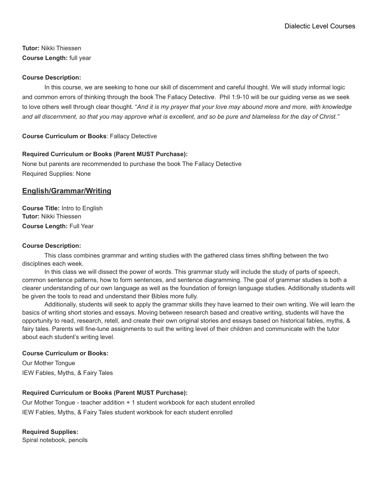**Tutor:** Nikki Thiessen **Course Length:** full year

### **Course Description:**

In this course, we are seeking to hone our skill of discernment and careful thought. We will study informal logic and common errors of thinking through the book The Fallacy Detective. Phil 1:9-10 will be our guiding verse as we seek to love others well through clear thought. "*And it is my prayer that your love may abound more and more, with knowledge* and all discernment, so that you may approve what is excellent, and so be pure and blameless for the day of Christ."

**Course Curriculum or Books**: Fallacy Detective

## **Required Curriculum or Books (Parent MUST Purchase):**

None but parents are recommended to purchase the book The Fallacy Detective Required Supplies: None

## **English/Grammar/Writing**

**Course Title:** Intro to English **Tutor:** Nikki Thiessen **Course Length:** Full Year

#### **Course Description:**

This class combines grammar and writing studies with the gathered class times shifting between the two disciplines each week.

In this class we will dissect the power of words. This grammar study will include the study of parts of speech, common sentence patterns, how to form sentences, and sentence diagramming. The goal of grammar studies is both a clearer understanding of our own language as well as the foundation of foreign language studies. Additionally students will be given the tools to read and understand their Bibles more fully.

Additionally, students will seek to apply the grammar skills they have learned to their own writing. We will learn the basics of writing short stories and essays. Moving between research based and creative writing, students will have the opportunity to read, research, retell, and create their own original stories and essays based on historical fables, myths, & fairy tales. Parents will fine-tune assignments to suit the writing level of their children and communicate with the tutor about each student's writing level.

#### **Course Curriculum or Books:**

Our Mother Tongue IEW Fables, Myths, & Fairy Tales

## **Required Curriculum or Books (Parent MUST Purchase):**

Our Mother Tongue - teacher addition + 1 student workbook for each student enrolled IEW Fables, Myths, & Fairy Tales student workbook for each student enrolled

**Required Supplies:**

Spiral notebook, pencils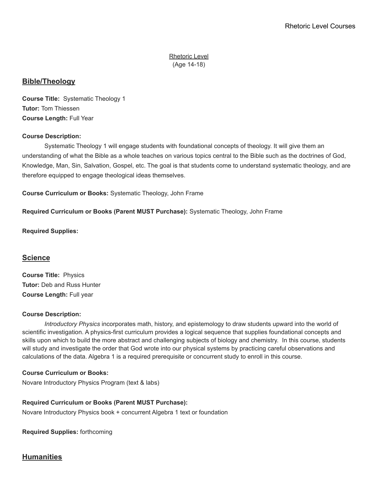Rhetoric Level (Age 14-18)

## **Bible/Theology**

**Course Title:** Systematic Theology 1 **Tutor:** Tom Thiessen **Course Length:** Full Year

## **Course Description:**

Systematic Theology 1 will engage students with foundational concepts of theology. It will give them an understanding of what the Bible as a whole teaches on various topics central to the Bible such as the doctrines of God, Knowledge, Man, Sin, Salvation, Gospel, etc. The goal is that students come to understand systematic theology, and are therefore equipped to engage theological ideas themselves.

**Course Curriculum or Books:** Systematic Theology, John Frame

**Required Curriculum or Books (Parent MUST Purchase):** Systematic Theology, John Frame

**Required Supplies:**

## **Science**

**Course Title:** Physics **Tutor:** Deb and Russ Hunter **Course Length:** Full year

#### **Course Description:**

*Introductory Physics* incorporates math, history, and epistemology to draw students upward into the world of scientific investigation. A physics-first curriculum provides a logical sequence that supplies foundational concepts and skills upon which to build the more abstract and challenging subjects of biology and chemistry. In this course, students will study and investigate the order that God wrote into our physical systems by practicing careful observations and calculations of the data. Algebra 1 is a required prerequisite or concurrent study to enroll in this course.

#### **Course Curriculum or Books:**

Novare Introductory Physics Program (text & labs)

#### **Required Curriculum or Books (Parent MUST Purchase):**

Novare Introductory Physics book + concurrent Algebra 1 text or foundation

**Required Supplies:** forthcoming

# **Humanities**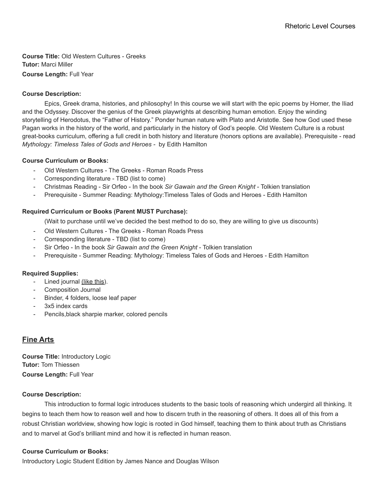**Course Title:** Old Western Cultures - Greeks **Tutor:** Marci Miller **Course Length:** Full Year

## **Course Description:**

Epics, Greek drama, histories, and philosophy! In this course we will start with the epic poems by Homer, the Iliad and the Odyssey. Discover the genius of the Greek playwrights at describing human emotion. Enjoy the winding storytelling of Herodotus, the "Father of History." Ponder human nature with Plato and Aristotle. See how God used these Pagan works in the history of the world, and particularly in the history of God's people. Old Western Culture is a robust great-books curriculum, offering a full credit in both history and literature (honors options are available). Prerequisite - read *Mythology: Timeless Tales of Gods and Heroes -* by Edith Hamilton

#### **Course Curriculum or Books:**

- Old Western Cultures The Greeks Roman Roads Press
- Corresponding literature TBD (list to come)
- Christmas Reading Sir Orfeo In the book *Sir Gawain and the Green Knight* Tolkien translation
- Prerequisite Summer Reading: Mythology: Timeless Tales of Gods and Heroes Edith Hamilton

## **Required Curriculum or Books (Parent MUST Purchase):**

(Wait to purchase until we've decided the best method to do so, they are willing to give us discounts)

- Old Western Cultures The Greeks Roman Roads Press
- Corresponding literature TBD (list to come)
- Sir Orfeo In the book *Sir Gawain and the Green Knight* Tolkien translation
- Prerequisite Summer Reading: Mythology: Timeless Tales of Gods and Heroes Edith Hamilton

#### **Required Supplies:**

- Lined journal [\(like](https://www.amazon.com/Wiisdatek-Ruled-Journal-Notebook-Journaling/dp/B08T67T7TF/ref=sr_1_20?crid=26RGJQDG955Q8&keywords=journal&qid=1652374938&sprefix=journal%2B%2Caps%2C137&sr=8-20&th=1) this).
- Composition Journal
- Binder, 4 folders, loose leaf paper
- 3x5 index cards
- Pencils, black sharpie marker, colored pencils

# **Fine Arts**

**Course Title:** Introductory Logic **Tutor:** Tom Thiessen **Course Length:** Full Year

#### **Course Description:**

This introduction to formal logic introduces students to the basic tools of reasoning which undergird all thinking. It begins to teach them how to reason well and how to discern truth in the reasoning of others. It does all of this from a robust Christian worldview, showing how logic is rooted in God himself, teaching them to think about truth as Christians and to marvel at God's brilliant mind and how it is reflected in human reason.

#### **Course Curriculum or Books:**

Introductory Logic Student Edition by James Nance and Douglas Wilson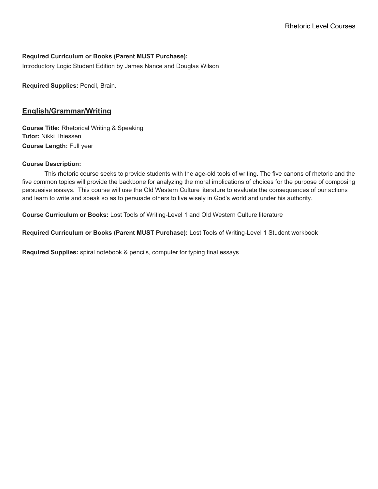## **Required Curriculum or Books (Parent MUST Purchase):**

Introductory Logic Student Edition by James Nance and Douglas Wilson

**Required Supplies:** Pencil, Brain.

## **English/Grammar/Writing**

**Course Title:** Rhetorical Writing & Speaking **Tutor:** Nikki Thiessen **Course Length:** Full year

#### **Course Description:**

This rhetoric course seeks to provide students with the age-old tools of writing. The five canons of rhetoric and the five common topics will provide the backbone for analyzing the moral implications of choices for the purpose of composing persuasive essays. This course will use the Old Western Culture literature to evaluate the consequences of our actions and learn to write and speak so as to persuade others to live wisely in God's world and under his authority.

**Course Curriculum or Books:** Lost Tools of Writing-Level 1 and Old Western Culture literature

**Required Curriculum or Books (Parent MUST Purchase):** Lost Tools of Writing-Level 1 Student workbook

**Required Supplies:** spiral notebook & pencils, computer for typing final essays